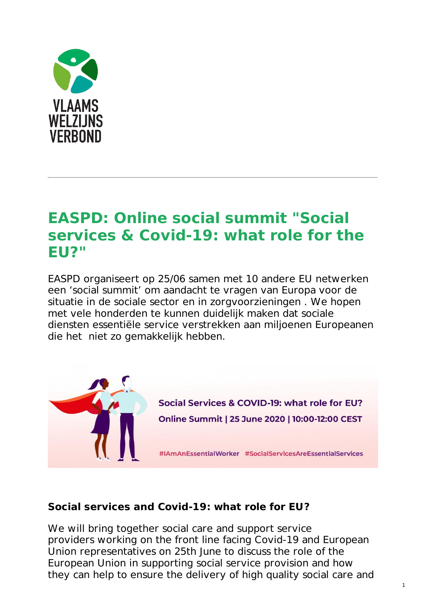

# **EASPD: Online social summit "Social services & [Covid-19:](https://www.vlaamswelzijnsverbond.be/nieuws/easpd-online-social-summit-social-services-covid-19-what-role-eu) what role for the EU?"**

EASPD organiseert op 25/06 samen met 10 andere EU netwerken een 'social summit' om aandacht te vragen van Europa voor de situatie in de sociale sector en in zorgvoorzieningen . We hopen met vele honderden te kunnen duidelijk maken dat sociale diensten essentiële service verstrekken aan miljoenen Europeanen die het niet zo gemakkelijk hebben.



# **Social services and Covid-19: what role for EU?**

We will bring together social care and support service providers working on the front line facing Covid-19 and European Union representatives on 25th June to discuss the role of the European Union in supporting social service provision and how they can help to ensure the delivery of high quality social care and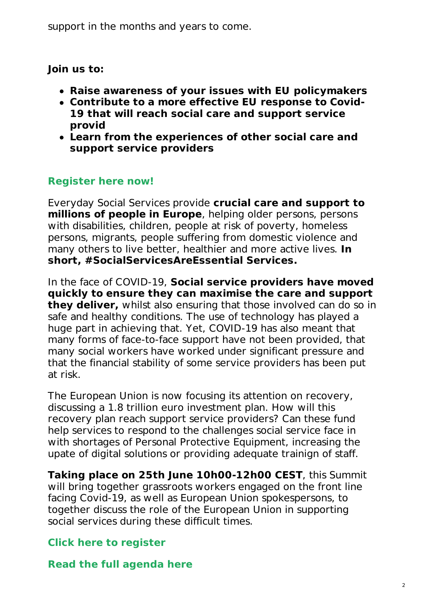support in the months and years to come.

### **Join us to:**

- **Raise awareness of your issues with EU policymakers**
- **Contribute to a more effective EU response to Covid-19 that will reach social care and support service provid**
- **Learn from the experiences of other social care and support service providers**

# **[Register](https://easpd.us11.list-manage.com/track/click?u=47548462519f84ab547c39ce9&id=839930f9b9&e=03b265e483) here now!**

Everyday Social Services provide **crucial care and support to millions of people in Europe**, helping older persons, persons with disabilities, children, people at risk of poverty, homeless persons, migrants, people suffering from domestic violence and many others to live better, healthier and more active lives. **In short, #SocialServicesAreEssential Services.**

In the face of COVID-19, **Social service providers have moved quickly to ensure they can maximise the care and support they deliver,** whilst also ensuring that those involved can do so in safe and healthy conditions. The use of technology has played a huge part in achieving that. Yet, COVID-19 has also meant that many forms of face-to-face support have not been provided, that many social workers have worked under significant pressure and that the financial stability of some service providers has been put at risk.

The European Union is now focusing its attention on recovery, discussing a 1.8 trillion euro investment plan. How will this recovery plan reach support service providers? Can these fund help services to respond to the challenges social service face in with shortages of Personal Protective Equipment, increasing the upate of digital solutions or providing adequate trainign of staff.

**Taking place on 25th June 10h00-12h00 CEST**, this Summit will bring together grassroots workers engaged on the front line facing Covid-19, as well as European Union spokespersons, to together discuss the role of the European Union in supporting social services during these difficult times.

# **Click here to [register](https://easpd.us11.list-manage.com/track/click?u=47548462519f84ab547c39ce9&id=86f4b91cef&e=03b265e483)**

**Read the full [agenda](https://easpd.us11.list-manage.com/track/click?u=47548462519f84ab547c39ce9&id=86f445d226&e=03b265e483) here**